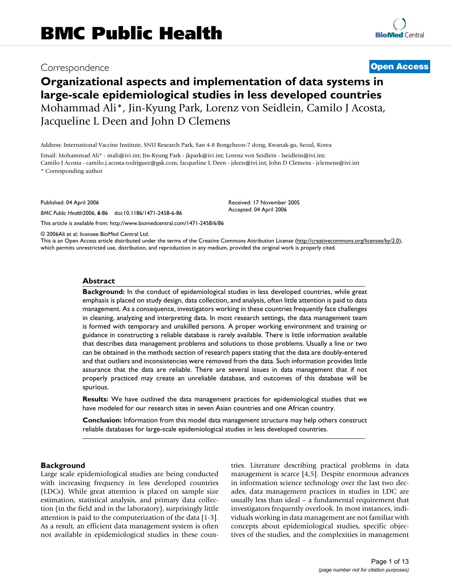# Correspondence **[Open Access](http://www.biomedcentral.com/info/about/charter/)**

# **Organizational aspects and implementation of data systems in large-scale epidemiological studies in less developed countries** Mohammad Ali\*, Jin-Kyung Park, Lorenz von Seidlein, Camilo J Acosta, Jacqueline L Deen and John D Clemens

Address: International Vaccine Institute, SNU Research Park, San 4-8 Bongcheon-7 dong, Kwanak-gu, Seoul, Korea

Email: Mohammad Ali\* - mali@ivi.int; Jin-Kyung Park - jkpark@ivi.int; Lorenz von Seidlein - lseidlein@ivi.int;

Camilo J Acosta - camilo.j.acosta-rodriguez@gsk.com; Jacqueline L Deen - jdeen@ivi.int; John D Clemens - jclemens@ivi.int \* Corresponding author

Published: 04 April 2006

*BMC Public Health*2006, **6**:86 doi:10.1186/1471-2458-6-86

[This article is available from: http://www.biomedcentral.com/1471-2458/6/86](http://www.biomedcentral.com/1471-2458/6/86)

Received: 17 November 2005 Accepted: 04 April 2006

© 2006Ali et al; licensee BioMed Central Ltd.

This is an Open Access article distributed under the terms of the Creative Commons Attribution License [\(http://creativecommons.org/licenses/by/2.0\)](http://creativecommons.org/licenses/by/2.0), which permits unrestricted use, distribution, and reproduction in any medium, provided the original work is properly cited.

#### **Abstract**

**Background:** In the conduct of epidemiological studies in less developed countries, while great emphasis is placed on study design, data collection, and analysis, often little attention is paid to data management. As a consequence, investigators working in these countries frequently face challenges in cleaning, analyzing and interpreting data. In most research settings, the data management team is formed with temporary and unskilled persons. A proper working environment and training or guidance in constructing a reliable database is rarely available. There is little information available that describes data management problems and solutions to those problems. Usually a line or two can be obtained in the methods section of research papers stating that the data are doubly-entered and that outliers and inconsistencies were removed from the data. Such information provides little assurance that the data are reliable. There are several issues in data management that if not properly practiced may create an unreliable database, and outcomes of this database will be spurious.

**Results:** We have outlined the data management practices for epidemiological studies that we have modeled for our research sites in seven Asian countries and one African country.

**Conclusion:** Information from this model data management structure may help others construct reliable databases for large-scale epidemiological studies in less developed countries.

#### **Background**

Large scale epidemiological studies are being conducted with increasing frequency in less developed countries (LDCs). While great attention is placed on sample size estimation, statistical analysis, and primary data collection (in the field and in the laboratory), surprisingly little attention is paid to the computerization of the data [1-3]. As a result, an efficient data management system is often not available in epidemiological studies in these countries. Literature describing practical problems in data management is scarce [4,5]. Despite enormous advances in information science technology over the last two decades, data management practices in studies in LDC are usually less than ideal – a fundamental requirement that investigators frequently overlook. In most instances, individuals working in data management are not familiar with concepts about epidemiological studies, specific objectives of the studies, and the complexities in management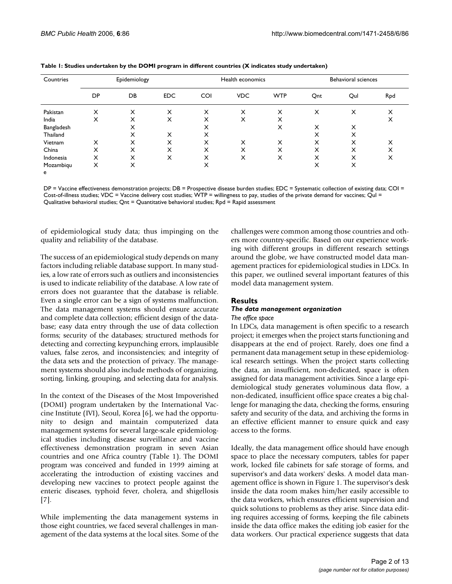| Countries      | Epidemiology |    |            | Health economics |            |            | <b>Behavioral sciences</b> |     |     |
|----------------|--------------|----|------------|------------------|------------|------------|----------------------------|-----|-----|
|                | DP           | DB | <b>EDC</b> | COI              | <b>VDC</b> | <b>WTP</b> | Qnt                        | Qul | Rpd |
| Pakistan       | X            | X  | X          | $\times$         | X          | X          | X                          | X   | X   |
| India          | X            | X  | X          | X                | X          | X          |                            |     | X   |
| Bangladesh     |              | X  |            | X                |            | X          | X                          | X   |     |
| Thailand       |              | X  | X          | X                |            |            | X                          | X   |     |
| Vietnam        | X            | X  | X          | X                | X          | X          | X                          | X   | X   |
| China          | X            | X  | X          | X                | X          | X          | X                          | X   | X   |
| Indonesia      | X            | X  | X          | X                | X          | X          | X                          | X   | Х   |
| Mozambiqu<br>e | X            | X  |            | X                |            |            | X                          | X   |     |

| Table I: Studies undertaken by the DOMI program in different countries (X indicates study undertaken) |  |  |
|-------------------------------------------------------------------------------------------------------|--|--|
|                                                                                                       |  |  |

DP = Vaccine effectiveness demonstration projects; DB = Prospective disease burden studies; EDC = Systematic collection of existing data; COI = Cost-of-illness studies; VDC = Vaccine delivery cost studies; WTP = willingness to pay, studies of the private demand for vaccines; Qul = Qualitative behavioral studies; Qnt = Quantitative behavioral studies; Rpd = Rapid assessment

of epidemiological study data; thus impinging on the quality and reliability of the database.

The success of an epidemiological study depends on many factors including reliable database support. In many studies, a low rate of errors such as outliers and inconsistencies is used to indicate reliability of the database. A low rate of errors does not guarantee that the database is reliable. Even a single error can be a sign of systems malfunction. The data management systems should ensure accurate and complete data collection; efficient design of the database; easy data entry through the use of data collection forms; security of the databases; structured methods for detecting and correcting keypunching errors, implausible values, false zeros, and inconsistencies; and integrity of the data sets and the protection of privacy. The management systems should also include methods of organizing, sorting, linking, grouping, and selecting data for analysis.

In the context of the Diseases of the Most Impoverished (DOMI) program undertaken by the International Vaccine Institute (IVI), Seoul, Korea [6], we had the opportunity to design and maintain computerized data management systems for several large-scale epidemiological studies including disease surveillance and vaccine effectiveness demonstration program in seven Asian countries and one Africa country (Table 1). The DOMI program was conceived and funded in 1999 aiming at accelerating the introduction of existing vaccines and developing new vaccines to protect people against the enteric diseases, typhoid fever, cholera, and shigellosis [7].

While implementing the data management systems in those eight countries, we faced several challenges in management of the data systems at the local sites. Some of the challenges were common among those countries and others more country-specific. Based on our experience working with different groups in different research settings around the globe, we have constructed model data management practices for epidemiological studies in LDCs. In this paper, we outlined several important features of this model data management system.

#### **Results**

# *The data management organization*

#### *The office space*

In LDCs, data management is often specific to a research project; it emerges when the project starts functioning and disappears at the end of project. Rarely, does one find a permanent data management setup in these epidemiological research settings. When the project starts collecting the data, an insufficient, non-dedicated, space is often assigned for data management activities. Since a large epidemiological study generates voluminous data flow, a non-dedicated, insufficient office space creates a big challenge for managing the data, checking the forms, ensuring safety and security of the data, and archiving the forms in an effective efficient manner to ensure quick and easy access to the forms.

Ideally, the data management office should have enough space to place the necessary computers, tables for paper work, locked file cabinets for safe storage of forms, and supervisor's and data workers' desks. A model data management office is shown in Figure 1. The supervisor's desk inside the data room makes him/her easily accessible to the data workers, which ensures efficient supervision and quick solutions to problems as they arise. Since data editing requires accessing of forms, keeping the file cabinets inside the data office makes the editing job easier for the data workers. Our practical experience suggests that data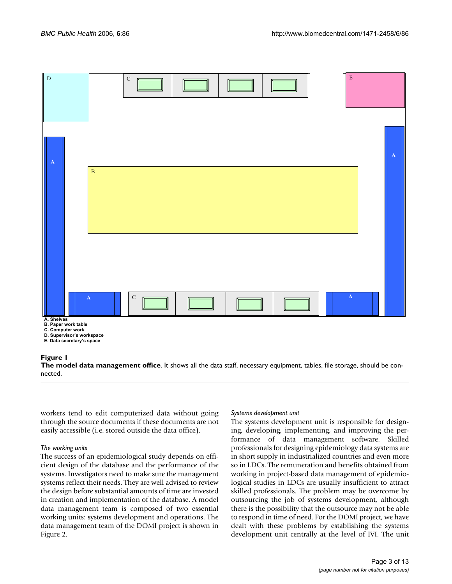

**C. Computer work** 

**D. Supervisor's workspace** 

**E. Data secretary's space** 

#### **Figure 1**

**The model data management office**. It shows all the data staff, necessary equipment, tables, file storage, should be connected.

workers tend to edit computerized data without going through the source documents if these documents are not easily accessible (i.e. stored outside the data office).

#### *The working units*

The success of an epidemiological study depends on efficient design of the database and the performance of the systems. Investigators need to make sure the management systems reflect their needs. They are well advised to review the design before substantial amounts of time are invested in creation and implementation of the database. A model data management team is composed of two essential working units: systems development and operations. The data management team of the DOMI project is shown in Figure 2.

#### *Systems development unit*

The systems development unit is responsible for designing, developing, implementing, and improving the performance of data management software. Skilled professionals for designing epidemiology data systems are in short supply in industrialized countries and even more so in LDCs. The remuneration and benefits obtained from working in project-based data management of epidemiological studies in LDCs are usually insufficient to attract skilled professionals. The problem may be overcome by outsourcing the job of systems development, although there is the possibility that the outsource may not be able to respond in time of need. For the DOMI project, we have dealt with these problems by establishing the systems development unit centrally at the level of IVI. The unit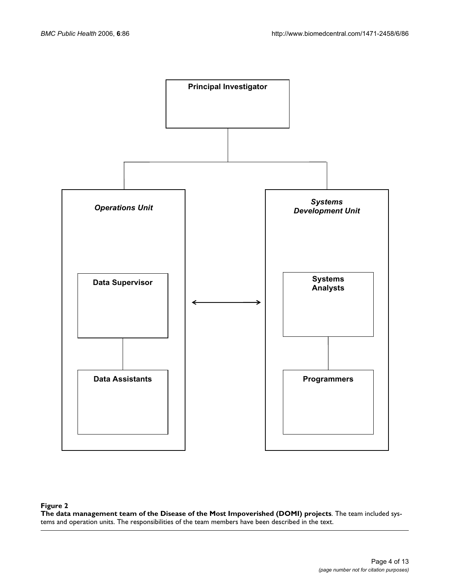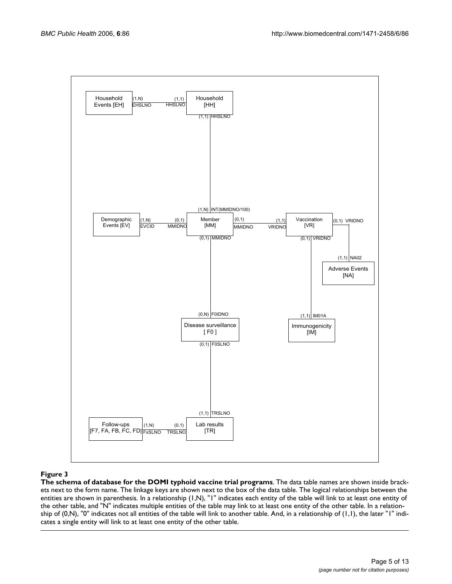

#### Figure 3

**The schema of database for the DOMI typhoid vaccine trial programs**. The data table names are shown inside brackets next to the form name. The linkage keys are shown next to the box of the data table. The logical relationships between the entities are shown in parenthesis. In a relationship (1,N), "1" indicates each entity of the table will link to at least one entity of the other table, and "N" indicates multiple entities of the table may link to at least one entity of the other table. In a relationship of  $(0,N)$ , "O" indicates not all entities of the table will link to another table. And, in a relationship of  $(1,1)$ , the later "I" indicates a single entity will link to at least one entity of the other table.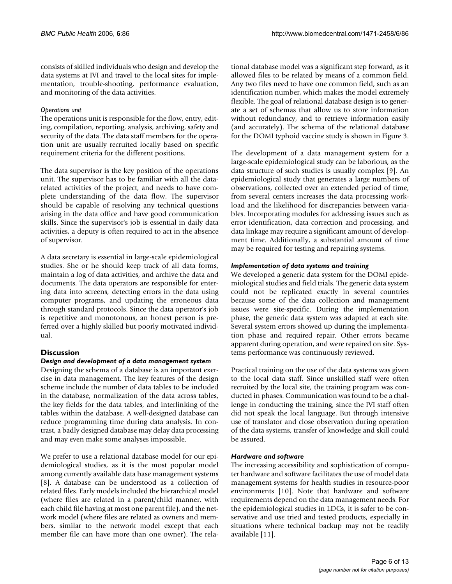consists of skilled individuals who design and develop the data systems at IVI and travel to the local sites for implementation, trouble-shooting, performance evaluation, and monitoring of the data activities.

#### *Operations unit*

The operations unit is responsible for the flow, entry, editing, compilation, reporting, analysis, archiving, safety and security of the data. The data staff members for the operation unit are usually recruited locally based on specific requirement criteria for the different positions.

The data supervisor is the key position of the operations unit. The supervisor has to be familiar with all the datarelated activities of the project, and needs to have complete understanding of the data flow. The supervisor should be capable of resolving any technical questions arising in the data office and have good communication skills. Since the supervisor's job is essential in daily data activities, a deputy is often required to act in the absence of supervisor.

A data secretary is essential in large-scale epidemiological studies. She or he should keep track of all data forms, maintain a log of data activities, and archive the data and documents. The data operators are responsible for entering data into screens, detecting errors in the data using computer programs, and updating the erroneous data through standard protocols. Since the data operator's job is repetitive and monotonous, an honest person is preferred over a highly skilled but poorly motivated individual.

# **Discussion**

#### *Design and development of a data management system*

Designing the schema of a database is an important exercise in data management. The key features of the design scheme include the number of data tables to be included in the database, normalization of the data across tables, the key fields for the data tables, and interlinking of the tables within the database. A well-designed database can reduce programming time during data analysis. In contrast, a badly designed database may delay data processing and may even make some analyses impossible.

We prefer to use a relational database model for our epidemiological studies, as it is the most popular model among currently available data base management systems [8]. A database can be understood as a collection of related files. Early models included the hierarchical model (where files are related in a parent/child manner, with each child file having at most one parent file), and the network model (where files are related as owners and members, similar to the network model except that each member file can have more than one owner). The relational database model was a significant step forward, as it allowed files to be related by means of a common field. Any two files need to have one common field, such as an identification number, which makes the model extremely flexible. The goal of relational database design is to generate a set of schemas that allow us to store information without redundancy, and to retrieve information easily (and accurately). The schema of the relational database for the DOMI typhoid vaccine study is shown in Figure 3.

The development of a data management system for a large-scale epidemiological study can be laborious, as the data structure of such studies is usually complex [9]. An epidemiological study that generates a large numbers of observations, collected over an extended period of time, from several centers increases the data processing workload and the likelihood for discrepancies between variables. Incorporating modules for addressing issues such as error identification, data correction and processing, and data linkage may require a significant amount of development time. Additionally, a substantial amount of time may be required for testing and repairing systems.

#### *Implementation of data systems and training*

We developed a generic data system for the DOMI epidemiological studies and field trials. The generic data system could not be replicated exactly in several countries because some of the data collection and management issues were site-specific. During the implementation phase, the generic data system was adapted at each site. Several system errors showed up during the implementation phase and required repair. Other errors became apparent during operation, and were repaired on site. Systems performance was continuously reviewed.

Practical training on the use of the data systems was given to the local data staff. Since unskilled staff were often recruited by the local site, the training program was conducted in phases. Communication was found to be a challenge in conducting the training, since the IVI staff often did not speak the local language. But through intensive use of translator and close observation during operation of the data systems, transfer of knowledge and skill could be assured.

#### *Hardware and software*

The increasing accessibility and sophistication of computer hardware and software facilitates the use of model data management systems for health studies in resource-poor environments [10]. Note that hardware and software requirements depend on the data management needs. For the epidemiological studies in LDCs, it is safer to be conservative and use tried and tested products, especially in situations where technical backup may not be readily available [11].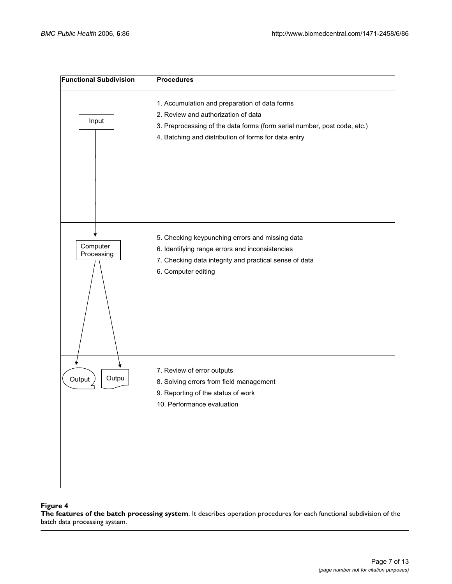

#### Figure 4

**The features of the batch processing system**. It describes operation procedures for each functional subdivision of the batch data processing system.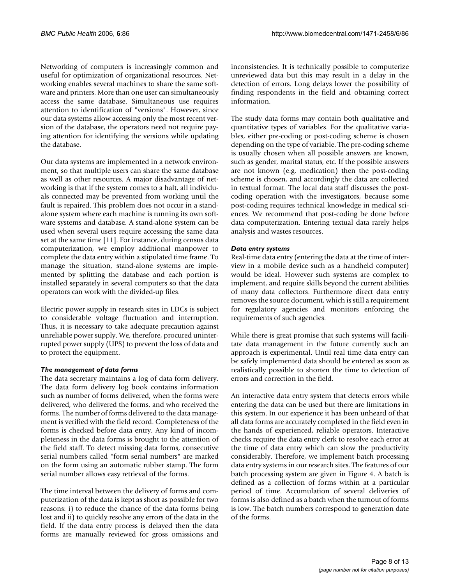Networking of computers is increasingly common and useful for optimization of organizational resources. Networking enables several machines to share the same software and printers. More than one user can simultaneously access the same database. Simultaneous use requires attention to identification of "versions". However, since our data systems allow accessing only the most recent version of the database, the operators need not require paying attention for identifying the versions while updating the database.

Our data systems are implemented in a network environment, so that multiple users can share the same database as well as other resources. A major disadvantage of networking is that if the system comes to a halt, all individuals connected may be prevented from working until the fault is repaired. This problem does not occur in a standalone system where each machine is running its own software systems and database. A stand-alone system can be used when several users require accessing the same data set at the same time [11]. For instance, during census data computerization, we employ additional manpower to complete the data entry within a stipulated time frame. To manage the situation, stand-alone systems are implemented by splitting the database and each portion is installed separately in several computers so that the data operators can work with the divided-up files.

Electric power supply in research sites in LDCs is subject to considerable voltage fluctuation and interruption. Thus, it is necessary to take adequate precaution against unreliable power supply. We, therefore, procured uninterrupted power supply (UPS) to prevent the loss of data and to protect the equipment.

#### *The management of data forms*

The data secretary maintains a log of data form delivery. The data form delivery log book contains information such as number of forms delivered, when the forms were delivered, who delivered the forms, and who received the forms. The number of forms delivered to the data management is verified with the field record. Completeness of the forms is checked before data entry. Any kind of incompleteness in the data forms is brought to the attention of the field staff. To detect missing data forms, consecutive serial numbers called "form serial numbers" are marked on the form using an automatic rubber stamp. The form serial number allows easy retrieval of the forms.

The time interval between the delivery of forms and computerization of the data is kept as short as possible for two reasons: i) to reduce the chance of the data forms being lost and ii) to quickly resolve any errors of the data in the field. If the data entry process is delayed then the data forms are manually reviewed for gross omissions and inconsistencies. It is technically possible to computerize unreviewed data but this may result in a delay in the detection of errors. Long delays lower the possibility of finding respondents in the field and obtaining correct information.

The study data forms may contain both qualitative and quantitative types of variables. For the qualitative variables, either pre-coding or post-coding scheme is chosen depending on the type of variable. The pre-coding scheme is usually chosen when all possible answers are known, such as gender, marital status, etc. If the possible answers are not known (e.g. medication) then the post-coding scheme is chosen, and accordingly the data are collected in textual format. The local data staff discusses the postcoding operation with the investigators, because some post-coding requires technical knowledge in medical sciences. We recommend that post-coding be done before data computerization. Entering textual data rarely helps analysis and wastes resources.

#### *Data entry systems*

Real-time data entry (entering the data at the time of interview in a mobile device such as a handheld computer) would be ideal. However such systems are complex to implement, and require skills beyond the current abilities of many data collectors. Furthermore direct data entry removes the source document, which is still a requirement for regulatory agencies and monitors enforcing the requirements of such agencies.

While there is great promise that such systems will facilitate data management in the future currently such an approach is experimental. Until real time data entry can be safely implemented data should be entered as soon as realistically possible to shorten the time to detection of errors and correction in the field.

An interactive data entry system that detects errors while entering the data can be used but there are limitations in this system. In our experience it has been unheard of that all data forms are accurately completed in the field even in the hands of experienced, reliable operators. Interactive checks require the data entry clerk to resolve each error at the time of data entry which can slow the productivity considerably. Therefore, we implement batch processing data entry systems in our research sites. The features of our batch processing system are given in Figure 4. A batch is defined as a collection of forms within at a particular period of time. Accumulation of several deliveries of forms is also defined as a batch when the turnout of forms is low. The batch numbers correspond to generation date of the forms.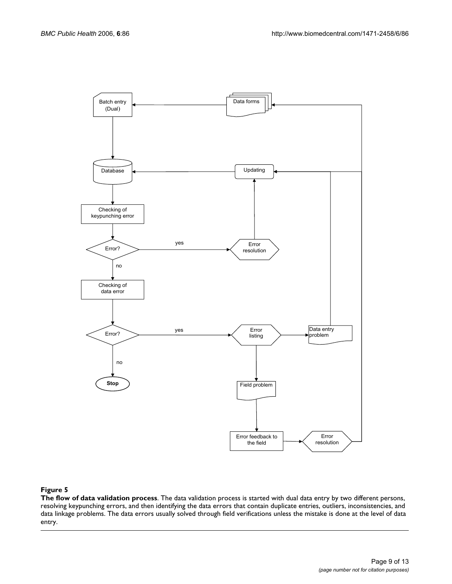

#### Figure 5

**The flow of data validation process**. The data validation process is started with dual data entry by two different persons, resolving keypunching errors, and then identifying the data errors that contain duplicate entries, outliers, inconsistencies, and data linkage problems. The data errors usually solved through field verifications unless the mistake is done at the level of data entry.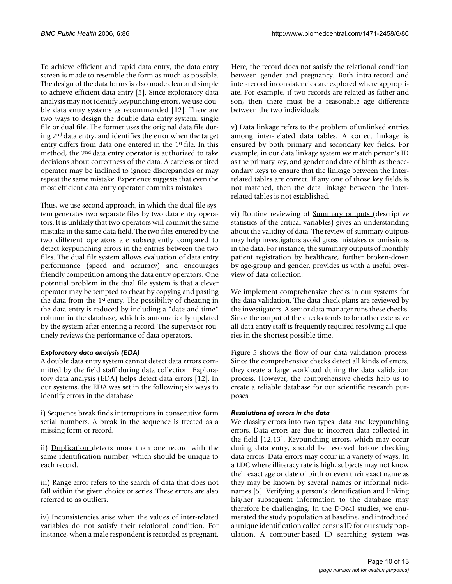To achieve efficient and rapid data entry, the data entry screen is made to resemble the form as much as possible. The design of the data forms is also made clear and simple to achieve efficient data entry [5]. Since exploratory data analysis may not identify keypunching errors, we use double data entry systems as recommended [12]. There are two ways to design the double data entry system: single file or dual file. The former uses the original data file during 2nd data entry, and identifies the error when the target entry differs from data one entered in the 1st file. In this method, the 2nd data entry operator is authorized to take decisions about correctness of the data. A careless or tired operator may be inclined to ignore discrepancies or may repeat the same mistake. Experience suggests that even the most efficient data entry operator commits mistakes.

Thus, we use second approach, in which the dual file system generates two separate files by two data entry operators. It is unlikely that two operators will commit the same mistake in the same data field. The two files entered by the two different operators are subsequently compared to detect keypunching errors in the entries between the two files. The dual file system allows evaluation of data entry performance (speed and accuracy) and encourages friendly competition among the data entry operators. One potential problem in the dual file system is that a clever operator may be tempted to cheat by copying and pasting the data from the 1st entry. The possibility of cheating in the data entry is reduced by including a "date and time" column in the database, which is automatically updated by the system after entering a record. The supervisor routinely reviews the performance of data operators.

#### *Exploratory data analysis (EDA)*

A double data entry system cannot detect data errors committed by the field staff during data collection. Exploratory data analysis (EDA) helps detect data errors [12]. In our systems, the EDA was set in the following six ways to identify errors in the database:

i) Sequence break finds interruptions in consecutive form serial numbers. A break in the sequence is treated as a missing form or record.

ii) Duplication detects more than one record with the same identification number, which should be unique to each record.

iii) Range error refers to the search of data that does not fall within the given choice or series. These errors are also referred to as outliers.

iv) Inconsistencies arise when the values of inter-related variables do not satisfy their relational condition. For instance, when a male respondent is recorded as pregnant.

Here, the record does not satisfy the relational condition between gender and pregnancy. Both intra-record and inter-record inconsistencies are explored where appropriate. For example, if two records are related as father and son, then there must be a reasonable age difference between the two individuals.

v) Data linkage refers to the problem of unlinked entries among inter-related data tables. A correct linkage is ensured by both primary and secondary key fields. For example, in our data linkage system we match person's ID as the primary key, and gender and date of birth as the secondary keys to ensure that the linkage between the interrelated tables are correct. If any one of those key fields is not matched, then the data linkage between the interrelated tables is not established.

vi) Routine reviewing of Summary outputs (descriptive statistics of the critical variables) gives an understanding about the validity of data. The review of summary outputs may help investigators avoid gross mistakes or omissions in the data. For instance, the summary outputs of monthly patient registration by healthcare, further broken-down by age-group and gender, provides us with a useful overview of data collection.

We implement comprehensive checks in our systems for the data validation. The data check plans are reviewed by the investigators. A senior data manager runs these checks. Since the output of the checks tends to be rather extensive all data entry staff is frequently required resolving all queries in the shortest possible time.

Figure 5 shows the flow of our data validation process. Since the comprehensive checks detect all kinds of errors, they create a large workload during the data validation process. However, the comprehensive checks help us to create a reliable database for our scientific research purposes.

# *Resolutions of errors in the data*

We classify errors into two types: data and keypunching errors. Data errors are due to incorrect data collected in the field [12,13]. Keypunching errors, which may occur during data entry, should be resolved before checking data errors. Data errors may occur in a variety of ways. In a LDC where illiteracy rate is high, subjects may not know their exact age or date of birth or even their exact name as they may be known by several names or informal nicknames [5]. Verifying a person's identification and linking his/her subsequent information to the database may therefore be challenging. In the DOMI studies, we enumerated the study population at baseline, and introduced a unique identification called census ID for our study population. A computer-based ID searching system was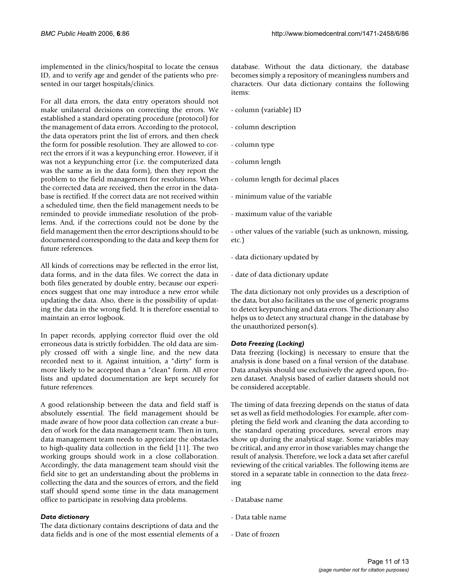implemented in the clinics/hospital to locate the census ID, and to verify age and gender of the patients who presented in our target hospitals/clinics.

For all data errors, the data entry operators should not make unilateral decisions on correcting the errors. We established a standard operating procedure (protocol) for the management of data errors. According to the protocol, the data operators print the list of errors, and then check the form for possible resolution. They are allowed to correct the errors if it was a keypunching error. However, if it was not a keypunching error (i.e. the computerized data was the same as in the data form), then they report the problem to the field management for resolutions. When the corrected data are received, then the error in the database is rectified. If the correct data are not received within a scheduled time, then the field management needs to be reminded to provide immediate resolution of the problems. And, if the corrections could not be done by the field management then the error descriptions should to be documented corresponding to the data and keep them for future references.

All kinds of corrections may be reflected in the error list, data forms, and in the data files. We correct the data in both files generated by double entry, because our experiences suggest that one may introduce a new error while updating the data. Also, there is the possibility of updating the data in the wrong field. It is therefore essential to maintain an error logbook.

In paper records, applying corrector fluid over the old erroneous data is strictly forbidden. The old data are simply crossed off with a single line, and the new data recorded next to it. Against intuition, a "dirty" form is more likely to be accepted than a "clean" form. All error lists and updated documentation are kept securely for future references.

A good relationship between the data and field staff is absolutely essential. The field management should be made aware of how poor data collection can create a burden of work for the data management team. Then in turn, data management team needs to appreciate the obstacles to high-quality data collection in the field [11]. The two working groups should work in a close collaboration. Accordingly, the data management team should visit the field site to get an understanding about the problems in collecting the data and the sources of errors, and the field staff should spend some time in the data management office to participate in resolving data problems.

#### *Data dictionary*

The data dictionary contains descriptions of data and the data fields and is one of the most essential elements of a database. Without the data dictionary, the database becomes simply a repository of meaningless numbers and characters. Our data dictionary contains the following items:

- column (variable) ID
- column description
- column type
- column length
- column length for decimal places
- minimum value of the variable
- maximum value of the variable

- other values of the variable (such as unknown, missing, etc.)

- data dictionary updated by
- date of data dictionary update

The data dictionary not only provides us a description of the data, but also facilitates us the use of generic programs to detect keypunching and data errors. The dictionary also helps us to detect any structural change in the database by the unauthorized person(s).

#### *Data Freezing (Locking)*

Data freezing (locking) is necessary to ensure that the analysis is done based on a final version of the database. Data analysis should use exclusively the agreed upon, frozen dataset. Analysis based of earlier datasets should not be considered acceptable.

The timing of data freezing depends on the status of data set as well as field methodologies. For example, after completing the field work and cleaning the data according to the standard operating procedures, several errors may show up during the analytical stage. Some variables may be critical, and any error in those variables may change the result of analysis. Therefore, we lock a data set after careful reviewing of the critical variables. The following items are stored in a separate table in connection to the data freezing

- Database name
- Data table name
- Date of frozen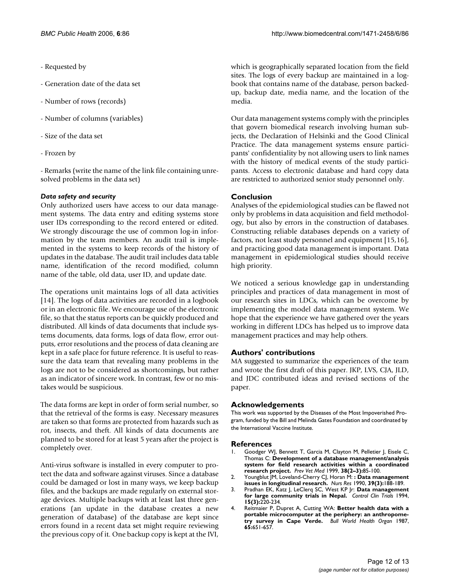- Requested by
- Generation date of the data set
- Number of rows (records)
- Number of columns (variables)
- Size of the data set
- Frozen by

- Remarks (write the name of the link file containing unresolved problems in the data set)

### *Data safety and security*

Only authorized users have access to our data management systems. The data entry and editing systems store user IDs corresponding to the record entered or edited. We strongly discourage the use of common log-in information by the team members. An audit trail is implemented in the systems to keep records of the history of updates in the database. The audit trail includes data table name, identification of the record modified, column name of the table, old data, user ID, and update date.

The operations unit maintains logs of all data activities [14]. The logs of data activities are recorded in a logbook or in an electronic file. We encourage use of the electronic file, so that the status reports can be quickly produced and distributed. All kinds of data documents that include systems documents, data forms, logs of data flow, error outputs, error resolutions and the process of data cleaning are kept in a safe place for future reference. It is useful to reassure the data team that revealing many problems in the logs are not to be considered as shortcomings, but rather as an indicator of sincere work. In contrast, few or no mistakes would be suspicious.

The data forms are kept in order of form serial number, so that the retrieval of the forms is easy. Necessary measures are taken so that forms are protected from hazards such as rot, insects, and theft. All kinds of data documents are planned to be stored for at least 5 years after the project is completely over.

Anti-virus software is installed in every computer to protect the data and software against viruses. Since a database could be damaged or lost in many ways, we keep backup files, and the backups are made regularly on external storage devices. Multiple backups with at least last three generations (an update in the database creates a new generation of database) of the database are kept since errors found in a recent data set might require reviewing the previous copy of it. One backup copy is kept at the IVI, which is geographically separated location from the field sites. The logs of every backup are maintained in a logbook that contains name of the database, person backedup, backup date, media name, and the location of the media.

Our data management systems comply with the principles that govern biomedical research involving human subjects, the Declaration of Helsinki and the Good Clinical Practice. The data management systems ensure participants' confidentiality by not allowing users to link names with the history of medical events of the study participants. Access to electronic database and hard copy data are restricted to authorized senior study personnel only.

# **Conclusion**

Analyses of the epidemiological studies can be flawed not only by problems in data acquisition and field methodology, but also by errors in the construction of databases. Constructing reliable databases depends on a variety of factors, not least study personnel and equipment [15,16], and practicing good data management is important. Data management in epidemiological studies should receive high priority.

We noticed a serious knowledge gap in understanding principles and practices of data management in most of our research sites in LDCs, which can be overcome by implementing the model data management system. We hope that the experience we have gathered over the years working in different LDCs has helped us to improve data management practices and may help others.

# **Authors' contributions**

MA suggested to summarize the experiences of the team and wrote the first draft of this paper. JKP, LVS, CJA, JLD, and JDC contributed ideas and revised sections of the paper.

#### **Acknowledgements**

This work was supported by the Diseases of the Most Impoverished Program, funded by the Bill and Melinda Gates Foundation and coordinated by the International Vaccine Institute.

#### **References**

- 1. Goodger WJ, Bennett T, Garcia M, Clayton M, Pelletier J, Eisele C, Thomas C: **[Development of a database management/analysis](http://www.ncbi.nlm.nih.gov/entrez/query.fcgi?cmd=Retrieve&db=PubMed&dopt=Abstract&list_uids=10081790) [system for field research activities within a coordinated](http://www.ncbi.nlm.nih.gov/entrez/query.fcgi?cmd=Retrieve&db=PubMed&dopt=Abstract&list_uids=10081790) [research project.](http://www.ncbi.nlm.nih.gov/entrez/query.fcgi?cmd=Retrieve&db=PubMed&dopt=Abstract&list_uids=10081790)** *Prev Vet Med* 1999, **38(2–3):**85-100.
- 2. Youngblut JM, Loveland-Cherry CJ, Horan M: **[: Data management](http://www.ncbi.nlm.nih.gov/entrez/query.fcgi?cmd=Retrieve&db=PubMed&dopt=Abstract&list_uids=2342909) [issues in longitudinal research.](http://www.ncbi.nlm.nih.gov/entrez/query.fcgi?cmd=Retrieve&db=PubMed&dopt=Abstract&list_uids=2342909)** *Nurs Res* 1990, **39(3):**188-189.
- 3. Pradhan EK, Katz J, LeClerq SC, West KP Jr: **[Data management](http://www.ncbi.nlm.nih.gov/entrez/query.fcgi?cmd=Retrieve&db=PubMed&dopt=Abstract&list_uids=8039407) [for large community trials in Nepal.](http://www.ncbi.nlm.nih.gov/entrez/query.fcgi?cmd=Retrieve&db=PubMed&dopt=Abstract&list_uids=8039407)** *Control Clin Trials* 1994, **15(3):**220-234.
- 4. Reitmaier P, Dupret A, Cutting WA: **[Better health data with a](http://www.ncbi.nlm.nih.gov/entrez/query.fcgi?cmd=Retrieve&db=PubMed&dopt=Abstract&list_uids=3322601) [portable microcomputer at the periphery: an anthropome](http://www.ncbi.nlm.nih.gov/entrez/query.fcgi?cmd=Retrieve&db=PubMed&dopt=Abstract&list_uids=3322601)[try survey in Cape Verde.](http://www.ncbi.nlm.nih.gov/entrez/query.fcgi?cmd=Retrieve&db=PubMed&dopt=Abstract&list_uids=3322601)** *Bull World Health Organ* 1987, **65:**651-657.